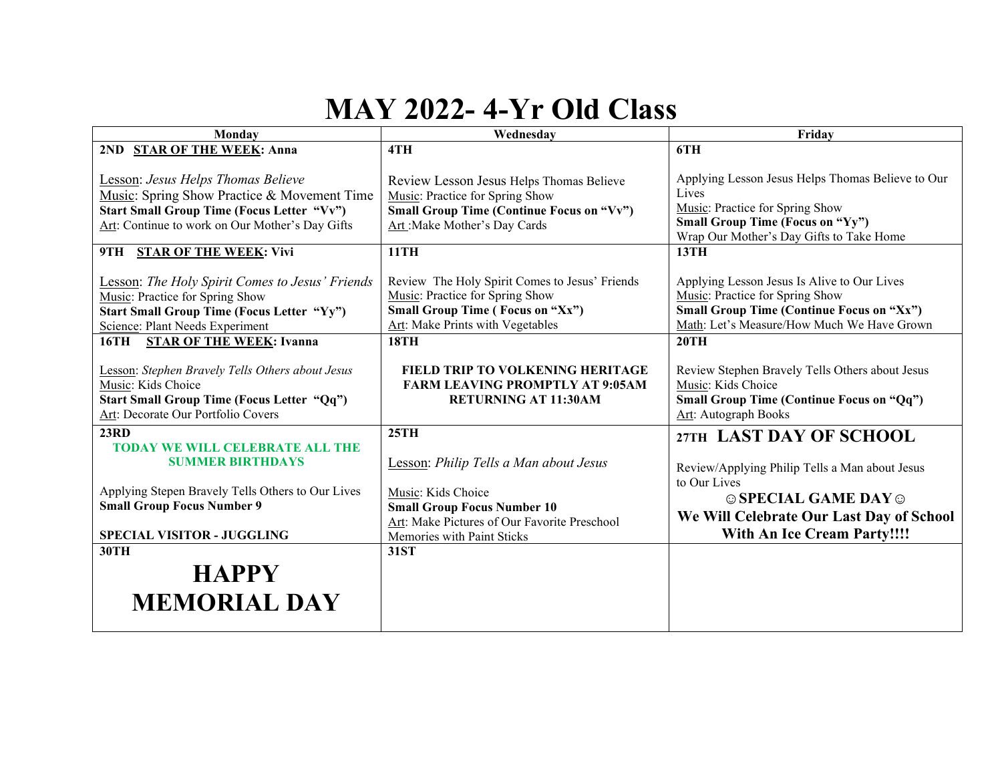## **MAY 2022- 4-Yr Old Class**

| Monday                                                                                                                                                                                                                                                                                                                                                                           | Wednesday                                                                                                                                                                                                                                                                                                      | Friday                                                                                                                                                                                                                                                                                                                                    |
|----------------------------------------------------------------------------------------------------------------------------------------------------------------------------------------------------------------------------------------------------------------------------------------------------------------------------------------------------------------------------------|----------------------------------------------------------------------------------------------------------------------------------------------------------------------------------------------------------------------------------------------------------------------------------------------------------------|-------------------------------------------------------------------------------------------------------------------------------------------------------------------------------------------------------------------------------------------------------------------------------------------------------------------------------------------|
| 2ND STAR OF THE WEEK: Anna                                                                                                                                                                                                                                                                                                                                                       | 4TH                                                                                                                                                                                                                                                                                                            | 6TH                                                                                                                                                                                                                                                                                                                                       |
| <b>Lesson: Jesus Helps Thomas Believe</b><br>Music: Spring Show Practice & Movement Time<br><b>Start Small Group Time (Focus Letter "Vv")</b><br>Art: Continue to work on Our Mother's Day Gifts<br>9TH STAR OF THE WEEK: Vivi<br><b>Lesson:</b> The Holy Spirit Comes to Jesus' Friends<br>Music: Practice for Spring Show<br><b>Start Small Group Time (Focus Letter "Yy")</b> | Review Lesson Jesus Helps Thomas Believe<br>Music: Practice for Spring Show<br><b>Small Group Time (Continue Focus on "Vv")</b><br>Art: Make Mother's Day Cards<br><b>11TH</b><br>Review The Holy Spirit Comes to Jesus' Friends<br>Music: Practice for Spring Show<br><b>Small Group Time (Focus on "Xx")</b> | Applying Lesson Jesus Helps Thomas Believe to Our<br>Lives<br>Music: Practice for Spring Show<br><b>Small Group Time (Focus on "Yy")</b><br>Wrap Our Mother's Day Gifts to Take Home<br><b>13TH</b><br>Applying Lesson Jesus Is Alive to Our Lives<br>Music: Practice for Spring Show<br><b>Small Group Time (Continue Focus on "Xx")</b> |
| Science: Plant Needs Experiment                                                                                                                                                                                                                                                                                                                                                  | Art: Make Prints with Vegetables                                                                                                                                                                                                                                                                               | Math: Let's Measure/How Much We Have Grown                                                                                                                                                                                                                                                                                                |
| <b>STAR OF THE WEEK: Ivanna</b><br>16TH<br>Lesson: Stephen Bravely Tells Others about Jesus<br>Music: Kids Choice<br>Start Small Group Time (Focus Letter "Qq")<br>Art: Decorate Our Portfolio Covers                                                                                                                                                                            | <b>18TH</b><br>FIELD TRIP TO VOLKENING HERITAGE<br><b>FARM LEAVING PROMPTLY AT 9:05AM</b><br><b>RETURNING AT 11:30AM</b>                                                                                                                                                                                       | 20TH<br>Review Stephen Bravely Tells Others about Jesus<br>Music: Kids Choice<br><b>Small Group Time (Continue Focus on "Qq")</b><br>Art: Autograph Books                                                                                                                                                                                 |
| 23RD<br><b>TODAY WE WILL CELEBRATE ALL THE</b><br><b>SUMMER BIRTHDAYS</b><br>Applying Stepen Bravely Tells Others to Our Lives<br><b>Small Group Focus Number 9</b><br><b>SPECIAL VISITOR - JUGGLING</b>                                                                                                                                                                         | 25TH<br>Lesson: Philip Tells a Man about Jesus<br>Music: Kids Choice<br><b>Small Group Focus Number 10</b><br>Art: Make Pictures of Our Favorite Preschool<br>Memories with Paint Sticks                                                                                                                       | 27TH LAST DAY OF SCHOOL<br>Review/Applying Philip Tells a Man about Jesus<br>to Our Lives<br>$\odot$ SPECIAL GAME DAY $\odot$<br>We Will Celebrate Our Last Day of School<br><b>With An Ice Cream Party!!!!</b>                                                                                                                           |
| 30TH                                                                                                                                                                                                                                                                                                                                                                             | <b>31ST</b>                                                                                                                                                                                                                                                                                                    |                                                                                                                                                                                                                                                                                                                                           |
| <b>HAPPY</b><br><b>MEMORIAL DAY</b>                                                                                                                                                                                                                                                                                                                                              |                                                                                                                                                                                                                                                                                                                |                                                                                                                                                                                                                                                                                                                                           |